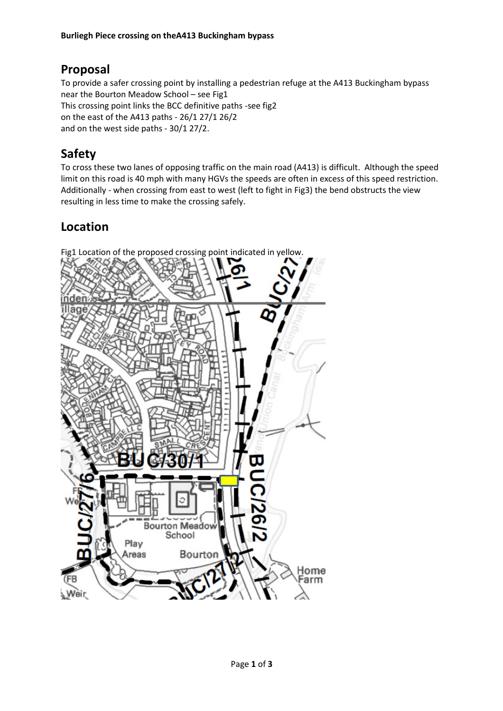## **Proposal**

To provide a safer crossing point by installing a pedestrian refuge at the A413 Buckingham bypass near the Bourton Meadow School – see Fig1 This crossing point links the BCC definitive paths -see fig2 on the east of the A413 paths - 26/1 27/1 26/2 and on the west side paths - 30/1 27/2.

## **Safety**

To cross these two lanes of opposing traffic on the main road (A413) is difficult. Although the speed limit on this road is 40 mph with many HGVs the speeds are often in excess of this speed restriction. Additionally - when crossing from east to west (left to fight in Fig3) the bend obstructs the view resulting in less time to make the crossing safely.

## **Location**

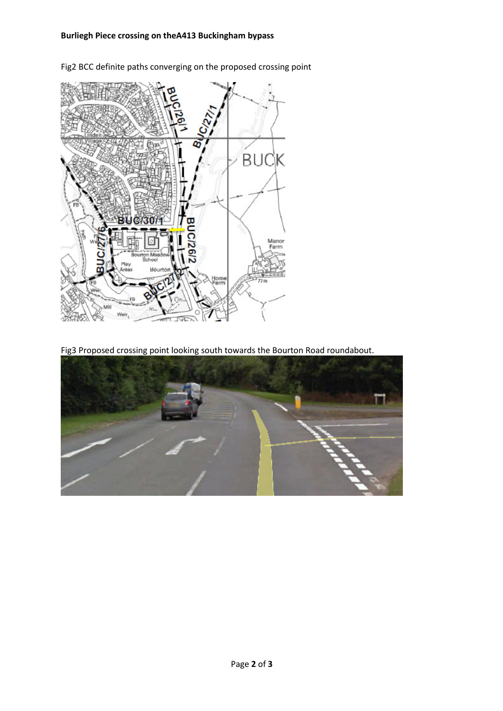

Fig2 BCC definite paths converging on the proposed crossing point

Fig3 Proposed crossing point looking south towards the Bourton Road roundabout.